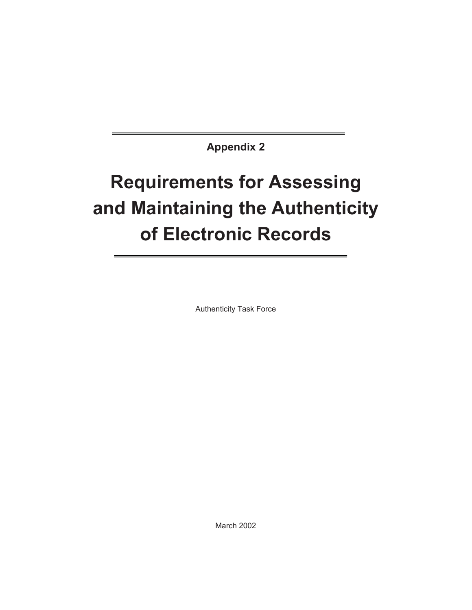**Appendix 2** 

# **Requirements for Assessing and Maintaining the Authenticity of Electronic Records**

Authenticity Task Force

March 2002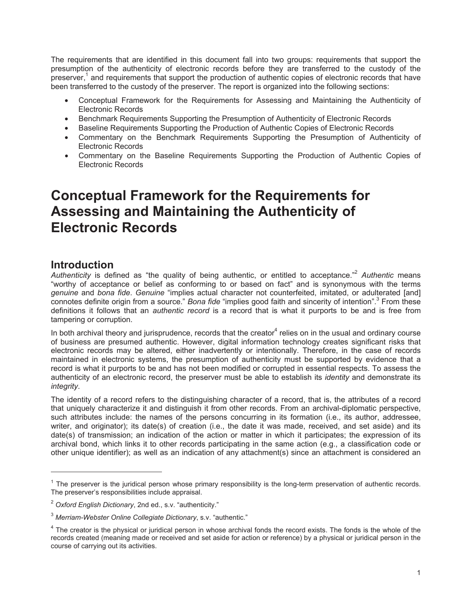The requirements that are identified in this document fall into two groups: requirements that support the presumption of the authenticity of electronic records before they are transferred to the custody of the preserver,<sup>1</sup> and requirements that support the production of authentic copies of electronic records that have been transferred to the custody of the preserver. The report is organized into the following sections:

- Conceptual Framework for the Requirements for Assessing and Maintaining the Authenticity of Electronic Records
- Benchmark Requirements Supporting the Presumption of Authenticity of Electronic Records
- Baseline Requirements Supporting the Production of Authentic Copies of Electronic Records
- Commentary on the Benchmark Requirements Supporting the Presumption of Authenticity of Electronic Records
- Commentary on the Baseline Requirements Supporting the Production of Authentic Copies of Electronic Records

# **Conceptual Framework for the Requirements for Assessing and Maintaining the Authenticity of Electronic Records**

### **Introduction**

 $\overline{a}$ 

*Authenticity* is defined as "the quality of being authentic, or entitled to acceptance."<sup>2</sup> *Authentic* means "worthy of acceptance or belief as conforming to or based on fact" and is synonymous with the terms *genuine* and *bona fide*. *Genuine* "implies actual character not counterfeited, imitated, or adulterated [and] connotes definite origin from a source." Bona fide "implies good faith and sincerity of intention".<sup>3</sup> From these definitions it follows that an *authentic record* is a record that is what it purports to be and is free from tampering or corruption.

In both archival theory and jurisprudence, records that the creator $^4$  relies on in the usual and ordinary course of business are presumed authentic. However, digital information technology creates significant risks that electronic records may be altered, either inadvertently or intentionally. Therefore, in the case of records maintained in electronic systems, the presumption of authenticity must be supported by evidence that a record is what it purports to be and has not been modified or corrupted in essential respects. To assess the authenticity of an electronic record, the preserver must be able to establish its *identity* and demonstrate its *integrity*.

The identity of a record refers to the distinguishing character of a record, that is, the attributes of a record that uniquely characterize it and distinguish it from other records. From an archival-diplomatic perspective, such attributes include: the names of the persons concurring in its formation (i.e., its author, addressee, writer, and originator); its date(s) of creation (i.e., the date it was made, received, and set aside) and its date(s) of transmission; an indication of the action or matter in which it participates; the expression of its archival bond, which links it to other records participating in the same action (e.g., a classification code or other unique identifier); as well as an indication of any attachment(s) since an attachment is considered an

 $1$  The preserver is the juridical person whose primary responsibility is the long-term preservation of authentic records. The preserver's responsibilities include appraisal.

<sup>2</sup> *Oxford English Dictionary*, 2nd ed., s.v. "authenticity."

<sup>3</sup>  *Merriam-Webster Online Collegiate Dictionary*, s.v. "authentic."

 $^4$  The creator is the physical or juridical person in whose archival fonds the record exists. The fonds is the whole of the records created (meaning made or received and set aside for action or reference) by a physical or juridical person in the course of carrying out its activities.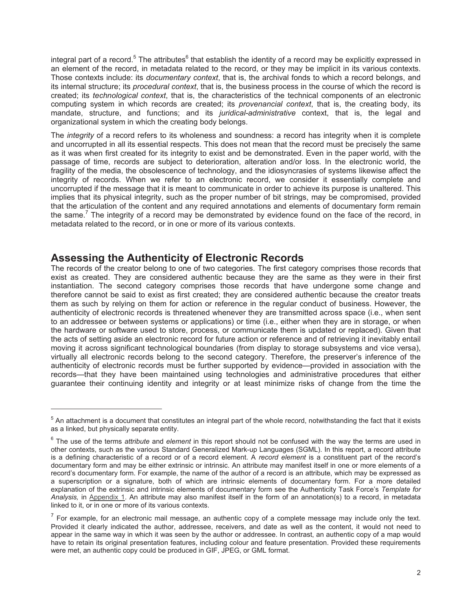integral part of a record.<sup>5</sup> The attributes<sup>6</sup> that establish the identity of a record may be explicitly expressed in an element of the record, in metadata related to the record, or they may be implicit in its various contexts. Those contexts include: its *documentary context*, that is, the archival fonds to which a record belongs, and its internal structure; its *procedural context*, that is, the business process in the course of which the record is created; its *technological context*, that is, the characteristics of the technical components of an electronic computing system in which records are created; its *provenancial context*, that is, the creating body, its mandate, structure, and functions; and its *juridical-administrative* context, that is, the legal and organizational system in which the creating body belongs.

The *integrity* of a record refers to its wholeness and soundness: a record has integrity when it is complete and uncorrupted in all its essential respects. This does not mean that the record must be precisely the same as it was when first created for its integrity to exist and be demonstrated. Even in the paper world, with the passage of time, records are subject to deterioration, alteration and/or loss. In the electronic world, the fragility of the media, the obsolescence of technology, and the idiosyncrasies of systems likewise affect the integrity of records. When we refer to an electronic record, we consider it essentially complete and uncorrupted if the message that it is meant to communicate in order to achieve its purpose is unaltered. This implies that its physical integrity, such as the proper number of bit strings, may be compromised, provided that the articulation of the content and any required annotations and elements of documentary form remain the same.<sup>7</sup> The integrity of a record may be demonstrated by evidence found on the face of the record, in metadata related to the record, or in one or more of its various contexts.

### **Assessing the Authenticity of Electronic Records**

 $\overline{a}$ 

The records of the creator belong to one of two categories. The first category comprises those records that exist as created. They are considered authentic because they are the same as they were in their first instantiation. The second category comprises those records that have undergone some change and therefore cannot be said to exist as first created; they are considered authentic because the creator treats them as such by relying on them for action or reference in the regular conduct of business. However, the authenticity of electronic records is threatened whenever they are transmitted across space (i.e., when sent to an addressee or between systems or applications) or time (i.e., either when they are in storage, or when the hardware or software used to store, process, or communicate them is updated or replaced). Given that the acts of setting aside an electronic record for future action or reference and of retrieving it inevitably entail moving it across significant technological boundaries (from display to storage subsystems and vice versa), virtually all electronic records belong to the second category. Therefore, the preserver's inference of the authenticity of electronic records must be further supported by evidence—provided in association with the records—that they have been maintained using technologies and administrative procedures that either guarantee their continuing identity and integrity or at least minimize risks of change from the time the

 $^5$  An attachment is a document that constitutes an integral part of the whole record, notwithstanding the fact that it exists as a linked, but physically separate entity.

<sup>6</sup> The use of the terms *attribute* and *element* in this report should not be confused with the way the terms are used in other contexts, such as the various Standard Generalized Mark-up Languages (SGML). In this report, a record attribute is a defining characteristic of a record or of a record element. A *record element* is a constituent part of the record's documentary form and may be either extrinsic or intrinsic. An attribute may manifest itself in one or more elements of a record's documentary form. For example, the name of the author of a record is an attribute, which may be expressed as a superscription or a signature, both of which are intrinsic elements of documentary form. For a more detailed explanation of the extrinsic and intrinsic elements of documentary form see the Authenticity Task Force's *Template for Analysis,* in Appendix 1. An attribute may also manifest itself in the form of an annotation(s) to a record, in metadata linked to it, or in one or more of its various contexts.

 $<sup>7</sup>$  For example, for an electronic mail message, an authentic copy of a complete message may include only the text.</sup> Provided it clearly indicated the author, addressee, receivers, and date as well as the content, it would not need to appear in the same way in which it was seen by the author or addressee. In contrast, an authentic copy of a map would have to retain its original presentation features, including colour and feature presentation. Provided these requirements were met, an authentic copy could be produced in GIF, JPEG, or GML format.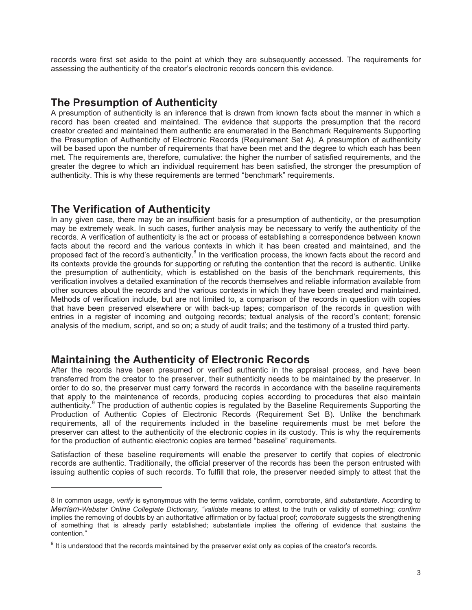records were first set aside to the point at which they are subsequently accessed. The requirements for assessing the authenticity of the creator's electronic records concern this evidence.

## **The Presumption of Authenticity**

A presumption of authenticity is an inference that is drawn from known facts about the manner in which a record has been created and maintained. The evidence that supports the presumption that the record creator created and maintained them authentic are enumerated in the Benchmark Requirements Supporting the Presumption of Authenticity of Electronic Records (Requirement Set A). A presumption of authenticity will be based upon the number of requirements that have been met and the degree to which each has been met. The requirements are, therefore, cumulative: the higher the number of satisfied requirements, and the greater the degree to which an individual requirement has been satisfied, the stronger the presumption of authenticity. This is why these requirements are termed "benchmark" requirements.

# **The Verification of Authenticity**

 $\overline{a}$ 

In any given case, there may be an insufficient basis for a presumption of authenticity, or the presumption may be extremely weak. In such cases, further analysis may be necessary to verify the authenticity of the records. A verification of authenticity is the act or process of establishing a correspondence between known facts about the record and the various contexts in which it has been created and maintained, and the proposed fact of the record's authenticity. $^8$  In the verification process, the known facts about the record and its contexts provide the grounds for supporting or refuting the contention that the record is authentic. Unlike the presumption of authenticity, which is established on the basis of the benchmark requirements, this verification involves a detailed examination of the records themselves and reliable information available from other sources about the records and the various contexts in which they have been created and maintained. Methods of verification include, but are not limited to, a comparison of the records in question with copies that have been preserved elsewhere or with back-up tapes; comparison of the records in question with entries in a register of incoming and outgoing records; textual analysis of the record's content; forensic analysis of the medium, script, and so on; a study of audit trails; and the testimony of a trusted third party.

# **Maintaining the Authenticity of Electronic Records**

After the records have been presumed or verified authentic in the appraisal process, and have been transferred from the creator to the preserver, their authenticity needs to be maintained by the preserver. In order to do so, the preserver must carry forward the records in accordance with the baseline requirements that apply to the maintenance of records, producing copies according to procedures that also maintain authenticity.<sup>9</sup> The production of authentic copies is regulated by the Baseline Requirements Supporting the Production of Authentic Copies of Electronic Records (Requirement Set B). Unlike the benchmark requirements, all of the requirements included in the baseline requirements must be met before the preserver can attest to the authenticity of the electronic copies in its custody. This is why the requirements for the production of authentic electronic copies are termed "baseline" requirements.

Satisfaction of these baseline requirements will enable the preserver to certify that copies of electronic records are authentic. Traditionally, the official preserver of the records has been the person entrusted with issuing authentic copies of such records. To fulfill that role, the preserver needed simply to attest that the

<sup>8</sup> In common usage, *verify* is synonymous with the terms validate*,* confirm*,* corroborate, and *substantiate*. According to *Merriam-Webster Online Collegiate Dictionary, "validate* means to attest to the truth or validity of something; *confirm* implies the removing of doubts by an authoritative affirmation or by factual proof; *corroborate* suggests the strengthening of something that is already partly established; substantiate implies the offering of evidence that sustains the contention."

 $^9$  It is understood that the records maintained by the preserver exist only as copies of the creator's records.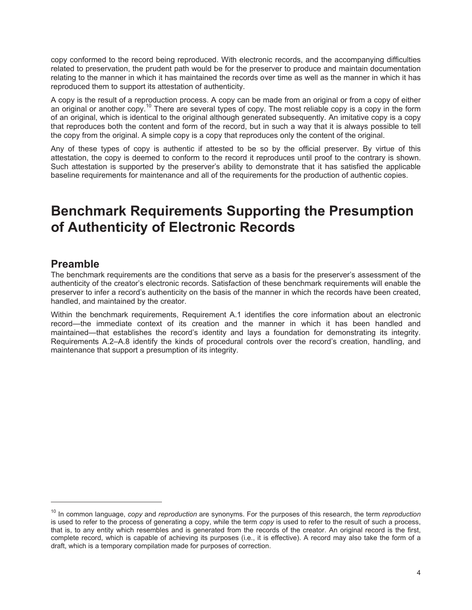copy conformed to the record being reproduced. With electronic records, and the accompanying difficulties related to preservation, the prudent path would be for the preserver to produce and maintain documentation relating to the manner in which it has maintained the records over time as well as the manner in which it has reproduced them to support its attestation of authenticity.

A copy is the result of a reproduction process. A copy can be made from an original or from a copy of either an original or another copy.<sup>10</sup> There are several types of copy. The most reliable copy is a copy in the form of an original, which is identical to the original although generated subsequently. An imitative copy is a copy that reproduces both the content and form of the record, but in such a way that it is always possible to tell the copy from the original. A simple copy is a copy that reproduces only the content of the original.

Any of these types of copy is authentic if attested to be so by the official preserver. By virtue of this attestation, the copy is deemed to conform to the record it reproduces until proof to the contrary is shown. Such attestation is supported by the preserver's ability to demonstrate that it has satisfied the applicable baseline requirements for maintenance and all of the requirements for the production of authentic copies.

# **Benchmark Requirements Supporting the Presumption of Authenticity of Electronic Records**

### **Preamble**

 $\overline{a}$ 

The benchmark requirements are the conditions that serve as a basis for the preserver's assessment of the authenticity of the creator's electronic records. Satisfaction of these benchmark requirements will enable the preserver to infer a record's authenticity on the basis of the manner in which the records have been created, handled, and maintained by the creator.

Within the benchmark requirements, Requirement A.1 identifies the core information about an electronic record—the immediate context of its creation and the manner in which it has been handled and maintained—that establishes the record's identity and lays a foundation for demonstrating its integrity. Requirements A.2–A.8 identify the kinds of procedural controls over the record's creation, handling, and maintenance that support a presumption of its integrity.

<sup>10</sup> In common language, *copy* and *reproduction* are synonyms. For the purposes of this research, the term *reproduction* is used to refer to the process of generating a copy, while the term *copy* is used to refer to the result of such a process, that is, to any entity which resembles and is generated from the records of the creator. An original record is the first, complete record, which is capable of achieving its purposes (i.e., it is effective). A record may also take the form of a draft, which is a temporary compilation made for purposes of correction.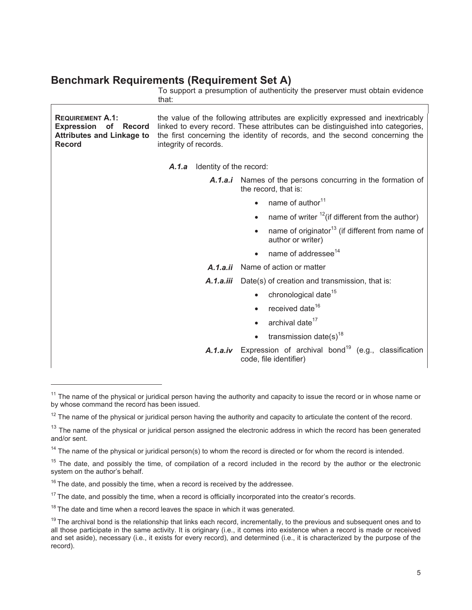# **Benchmark Requirements (Requirement Set A)**

To support a presumption of authenticity the preserver must obtain evidence that:

| <b>REQUIREMENT A.1:</b><br><b>Expression</b><br><b>Record</b><br>of<br><b>Attributes and Linkage to</b><br><b>Record</b> | the value of the following attributes are explicitly expressed and inextricably<br>linked to every record. These attributes can be distinguished into categories,<br>the first concerning the identity of records, and the second concerning the<br>integrity of records. |                         |                                                                                               |  |
|--------------------------------------------------------------------------------------------------------------------------|---------------------------------------------------------------------------------------------------------------------------------------------------------------------------------------------------------------------------------------------------------------------------|-------------------------|-----------------------------------------------------------------------------------------------|--|
|                                                                                                                          | A.1.a                                                                                                                                                                                                                                                                     | Identity of the record: |                                                                                               |  |
|                                                                                                                          |                                                                                                                                                                                                                                                                           |                         | <b>A.1.a.i</b> Names of the persons concurring in the formation of<br>the record, that is:    |  |
|                                                                                                                          |                                                                                                                                                                                                                                                                           |                         | name of author <sup>11</sup>                                                                  |  |
|                                                                                                                          |                                                                                                                                                                                                                                                                           |                         | name of writer $12$ (if different from the author)<br>$\bullet$                               |  |
|                                                                                                                          |                                                                                                                                                                                                                                                                           |                         | name of originator <sup>13</sup> (if different from name of<br>$\bullet$<br>author or writer) |  |
|                                                                                                                          |                                                                                                                                                                                                                                                                           |                         | name of addressee <sup>14</sup>                                                               |  |
|                                                                                                                          |                                                                                                                                                                                                                                                                           | A.1.a.ii                | Name of action or matter                                                                      |  |
|                                                                                                                          |                                                                                                                                                                                                                                                                           | A.1.a.iii               | Date(s) of creation and transmission, that is:                                                |  |
|                                                                                                                          |                                                                                                                                                                                                                                                                           |                         | chronological date <sup>15</sup>                                                              |  |
|                                                                                                                          |                                                                                                                                                                                                                                                                           |                         | received date <sup>16</sup>                                                                   |  |
|                                                                                                                          |                                                                                                                                                                                                                                                                           |                         | archival date <sup>17</sup>                                                                   |  |
|                                                                                                                          |                                                                                                                                                                                                                                                                           |                         | transmission date(s) <sup>18</sup>                                                            |  |
|                                                                                                                          |                                                                                                                                                                                                                                                                           | A.1.a.iv                | Expression of archival bond <sup>19</sup> (e.g., classification<br>code, file identifier)     |  |

 $\overline{a}$ 

<sup>&</sup>lt;sup>11</sup> The name of the physical or juridical person having the authority and capacity to issue the record or in whose name or by whose command the record has been issued.

 $12$  The name of the physical or juridical person having the authority and capacity to articulate the content of the record.

 $13$  The name of the physical or juridical person assigned the electronic address in which the record has been generated and/or sent.

 $14$  The name of the physical or juridical person(s) to whom the record is directed or for whom the record is intended.

 $15$  The date, and possibly the time, of compilation of a record included in the record by the author or the electronic system on the author's behalf.

 $16$  The date, and possibly the time, when a record is received by the addressee.

 $17$  The date, and possibly the time, when a record is officially incorporated into the creator's records.

 $18$  The date and time when a record leaves the space in which it was generated.

 $19$  The archival bond is the relationship that links each record, incrementally, to the previous and subsequent ones and to all those participate in the same activity. It is originary (i.e., it comes into existence when a record is made or received and set aside), necessary (i.e., it exists for every record), and determined (i.e., it is characterized by the purpose of the record).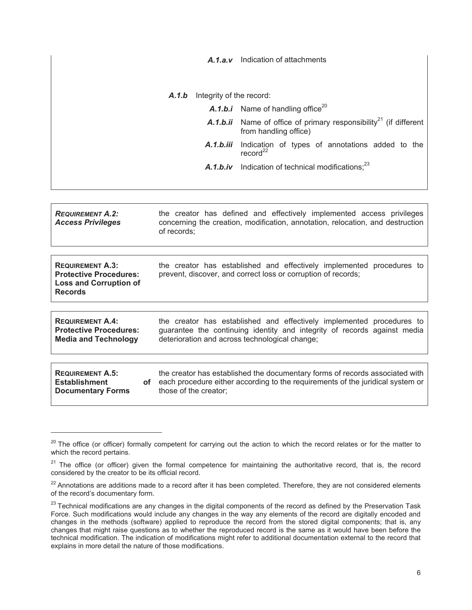|                                | A.1.a.v Indication of attachments                                                                      |
|--------------------------------|--------------------------------------------------------------------------------------------------------|
| A.1.b Integrity of the record: |                                                                                                        |
|                                | A.1.b.i Name of handling office <sup>20</sup>                                                          |
|                                | A.1.b.ii Name of office of primary responsibility <sup>21</sup> (if different<br>from handling office) |
|                                | A.1.b.iii Indication of types of annotations added to the<br>record <sup>22</sup>                      |
|                                | <b>A.1.b.iv</b> Indication of technical modifications; <sup>23</sup>                                   |

| <b>REQUIREMENT A.2:</b><br><b>Access Privileges</b>                                                         | the creator has defined and effectively implemented access privileges<br>concerning the creation, modification, annotation, relocation, and destruction<br>of records;                              |  |  |  |
|-------------------------------------------------------------------------------------------------------------|-----------------------------------------------------------------------------------------------------------------------------------------------------------------------------------------------------|--|--|--|
|                                                                                                             |                                                                                                                                                                                                     |  |  |  |
| <b>REQUIREMENT A.3:</b><br><b>Protective Procedures:</b><br><b>Loss and Corruption of</b><br><b>Records</b> | the creator has established and effectively implemented procedures to<br>prevent, discover, and correct loss or corruption of records;                                                              |  |  |  |
|                                                                                                             |                                                                                                                                                                                                     |  |  |  |
| <b>REQUIREMENT A.4:</b><br><b>Protective Procedures:</b><br><b>Media and Technology</b>                     | the creator has established and effectively implemented procedures to<br>guarantee the continuing identity and integrity of records against media<br>deterioration and across technological change; |  |  |  |
|                                                                                                             |                                                                                                                                                                                                     |  |  |  |
| <b>REQUIREMENT A.5:</b><br><b>Establishment</b><br><b>Documentary Forms</b>                                 | the creator has established the documentary forms of records associated with<br>each procedure either according to the requirements of the juridical system or<br>of<br>those of the creator;       |  |  |  |
|                                                                                                             |                                                                                                                                                                                                     |  |  |  |

<sup>&</sup>lt;sup>20</sup> The office (or officer) formally competent for carrying out the action to which the record relates or for the matter to which the record pertains.

 $\overline{a}$ 

 $21$  The office (or officer) given the formal competence for maintaining the authoritative record, that is, the record considered by the creator to be its official record.

 $22$  Annotations are additions made to a record after it has been completed. Therefore, they are not considered elements of the record's documentary form.

 $^{23}$  Technical modifications are any changes in the digital components of the record as defined by the Preservation Task Force. Such modifications would include any changes in the way any elements of the record are digitally encoded and changes in the methods (software) applied to reproduce the record from the stored digital components; that is, any changes that might raise questions as to whether the reproduced record is the same as it would have been before the technical modification. The indication of modifications might refer to additional documentation external to the record that explains in more detail the nature of those modifications.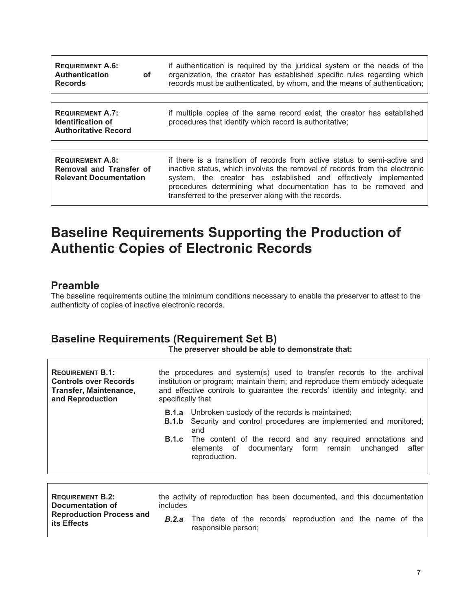| <b>REQUIREMENT A.6:</b><br><b>Authentication</b><br><b>Records</b>                         | οf | if authentication is required by the juridical system or the needs of the<br>organization, the creator has established specific rules regarding which<br>records must be authenticated, by whom, and the means of authentication;                                                                                                                     |
|--------------------------------------------------------------------------------------------|----|-------------------------------------------------------------------------------------------------------------------------------------------------------------------------------------------------------------------------------------------------------------------------------------------------------------------------------------------------------|
| <b>REQUIREMENT A.7:</b><br><b>Identification of</b><br><b>Authoritative Record</b>         |    | if multiple copies of the same record exist, the creator has established<br>procedures that identify which record is authoritative;                                                                                                                                                                                                                   |
| <b>REQUIREMENT A.8:</b><br><b>Removal and Transfer of</b><br><b>Relevant Documentation</b> |    | if there is a transition of records from active status to semi-active and<br>inactive status, which involves the removal of records from the electronic<br>system, the creator has established and effectively implemented<br>procedures determining what documentation has to be removed and<br>transferred to the preserver along with the records. |

# **Baseline Requirements Supporting the Production of Authentic Copies of Electronic Records**

### **Preamble**

г

Г

The baseline requirements outline the minimum conditions necessary to enable the preserver to attest to the authenticity of copies of inactive electronic records.

# **Baseline Requirements (Requirement Set B)**

**The preserver should be able to demonstrate that:** 

| <b>REQUIREMENT B.1:</b><br><b>Controls over Records</b><br>Transfer, Maintenance,<br>and Reproduction | the procedures and system(s) used to transfer records to the archival<br>institution or program; maintain them; and reproduce them embody adequate<br>and effective controls to guarantee the records' identity and integrity, and<br>specifically that |                                                                                                                                                   |  |  |  |
|-------------------------------------------------------------------------------------------------------|---------------------------------------------------------------------------------------------------------------------------------------------------------------------------------------------------------------------------------------------------------|---------------------------------------------------------------------------------------------------------------------------------------------------|--|--|--|
|                                                                                                       |                                                                                                                                                                                                                                                         | <b>B.1.a</b> Unbroken custody of the records is maintained;<br><b>B.1.b</b> Security and control procedures are implemented and monitored;<br>and |  |  |  |
|                                                                                                       | <b>B.1.c</b>                                                                                                                                                                                                                                            | The content of the record and any required annotations and<br>elements of documentary form remain unchanged<br>after<br>reproduction.             |  |  |  |

| <b>REQUIREMENT B.2:</b><br>Documentation of    | <i>includes</i> |                     |  | the activity of reproduction has been documented, and this documentation |  |  |  |
|------------------------------------------------|-----------------|---------------------|--|--------------------------------------------------------------------------|--|--|--|
| <b>Reproduction Process and</b><br>its Effects | B.2.a           | responsible person; |  | The date of the records' reproduction and the name of the                |  |  |  |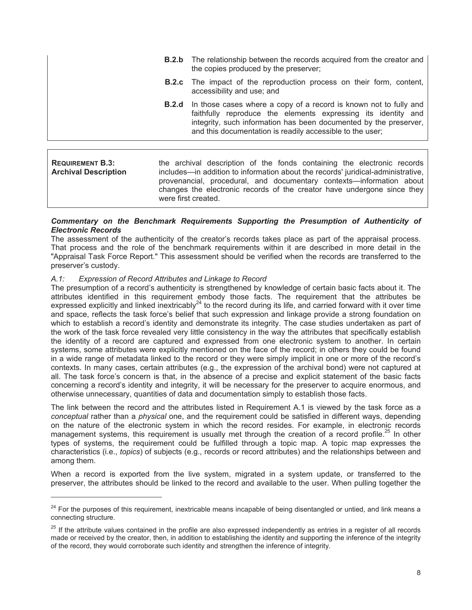**B.2.b** The relationship between the records acquired from the creator and the copies produced by the preserver; **B.2.c** The impact of the reproduction process on their form, content, accessibility and use; and **B.2.d** In those cases where a copy of a record is known not to fully and faithfully reproduce the elements expressing its identity and integrity, such information has been documented by the preserver, and this documentation is readily accessible to the user;

| <b>REQUIREMENT B.3:</b><br><b>Archival Description</b> | the archival description of the fonds containing the electronic records<br>includes—in addition to information about the records' juridical-administrative,<br>provenancial, procedural, and documentary contexts—information about<br>changes the electronic records of the creator have undergone since they<br>were first created. |
|--------------------------------------------------------|---------------------------------------------------------------------------------------------------------------------------------------------------------------------------------------------------------------------------------------------------------------------------------------------------------------------------------------|
|                                                        |                                                                                                                                                                                                                                                                                                                                       |

#### *Commentary on the Benchmark Requirements Supporting the Presumption of Authenticity of Electronic Records*

The assessment of the authenticity of the creator's records takes place as part of the appraisal process. That process and the role of the benchmark requirements within it are described in more detail in the "Appraisal Task Force Report." This assessment should be verified when the records are transferred to the preserver's custody.

#### *A.1: Expression of Record Attributes and Linkage to Record*

 $\overline{a}$ 

The presumption of a record's authenticity is strengthened by knowledge of certain basic facts about it. The attributes identified in this requirement embody those facts. The requirement that the attributes be expressed explicitly and linked inextricably<sup>24</sup> to the record during its life, and carried forward with it over time and space, reflects the task force's belief that such expression and linkage provide a strong foundation on which to establish a record's identity and demonstrate its integrity. The case studies undertaken as part of the work of the task force revealed very little consistency in the way the attributes that specifically establish the identity of a record are captured and expressed from one electronic system to another. In certain systems, some attributes were explicitly mentioned on the face of the record; in others they could be found in a wide range of metadata linked to the record or they were simply implicit in one or more of the record's contexts. In many cases, certain attributes (e.g., the expression of the archival bond) were not captured at all. The task force's concern is that, in the absence of a precise and explicit statement of the basic facts concerning a record's identity and integrity, it will be necessary for the preserver to acquire enormous, and otherwise unnecessary, quantities of data and documentation simply to establish those facts.

The link between the record and the attributes listed in Requirement A.1 is viewed by the task force as a *conceptual* rather than a *physical* one, and the requirement could be satisfied in different ways, depending on the nature of the electronic system in which the record resides. For example, in electronic records management systems, this requirement is usually met through the creation of a record profile.<sup>25</sup> In other types of systems, the requirement could be fulfilled through a topic map. A topic map expresses the characteristics (i.e., *topics*) of subjects (e.g., records or record attributes) and the relationships between and among them.

When a record is exported from the live system, migrated in a system update, or transferred to the preserver, the attributes should be linked to the record and available to the user. When pulling together the

<sup>&</sup>lt;sup>24</sup> For the purposes of this requirement, inextricable means incapable of being disentangled or untied, and link means a connecting structure.

 $25$  If the attribute values contained in the profile are also expressed independently as entries in a register of all records made or received by the creator, then, in addition to establishing the identity and supporting the inference of the integrity of the record, they would corroborate such identity and strengthen the inference of integrity.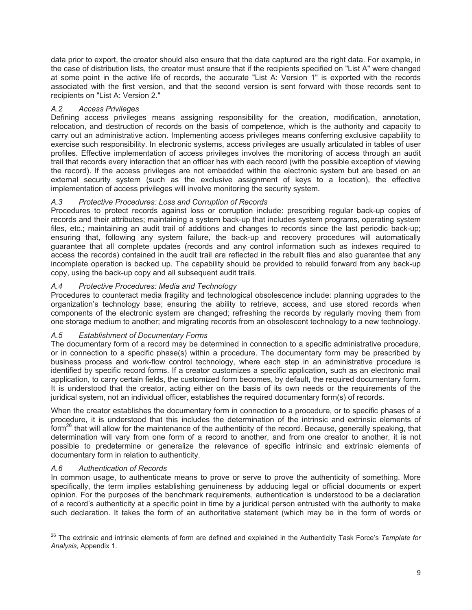data prior to export, the creator should also ensure that the data captured are the right data. For example, in the case of distribution lists, the creator must ensure that if the recipients specified on "List A" were changed at some point in the active life of records, the accurate "List A: Version 1" is exported with the records associated with the first version, and that the second version is sent forward with those records sent to recipients on "List A: Version 2."

#### *A.2 Access Privileges*

Defining access privileges means assigning responsibility for the creation, modification, annotation, relocation, and destruction of records on the basis of competence, which is the authority and capacity to carry out an administrative action. Implementing access privileges means conferring exclusive capability to exercise such responsibility. In electronic systems, access privileges are usually articulated in tables of user profiles. Effective implementation of access privileges involves the monitoring of access through an audit trail that records every interaction that an officer has with each record (with the possible exception of viewing the record). If the access privileges are not embedded within the electronic system but are based on an external security system (such as the exclusive assignment of keys to a location), the effective implementation of access privileges will involve monitoring the security system.

#### *A.3 Protective Procedures: Loss and Corruption of Records*

Procedures to protect records against loss or corruption include: prescribing regular back-up copies of records and their attributes; maintaining a system back-up that includes system programs, operating system files, etc.; maintaining an audit trail of additions and changes to records since the last periodic back-up; ensuring that, following any system failure, the back-up and recovery procedures will automatically guarantee that all complete updates (records and any control information such as indexes required to access the records) contained in the audit trail are reflected in the rebuilt files and also guarantee that any incomplete operation is backed up. The capability should be provided to rebuild forward from any back-up copy, using the back-up copy and all subsequent audit trails.

#### *A.4 Protective Procedures: Media and Technology*

Procedures to counteract media fragility and technological obsolescence include: planning upgrades to the organization's technology base; ensuring the ability to retrieve, access, and use stored records when components of the electronic system are changed; refreshing the records by regularly moving them from one storage medium to another; and migrating records from an obsolescent technology to a new technology.

#### *A.5 Establishment of Documentary Forms*

The documentary form of a record may be determined in connection to a specific administrative procedure, or in connection to a specific phase(s) within a procedure. The documentary form may be prescribed by business process and work-flow control technology, where each step in an administrative procedure is identified by specific record forms. If a creator customizes a specific application, such as an electronic mail application, to carry certain fields, the customized form becomes, by default, the required documentary form. It is understood that the creator, acting either on the basis of its own needs or the requirements of the juridical system, not an individual officer, establishes the required documentary form(s) of records.

When the creator establishes the documentary form in connection to a procedure, or to specific phases of a procedure, it is understood that this includes the determination of the intrinsic and extrinsic elements of form<sup>26</sup> that will allow for the maintenance of the authenticity of the record. Because, generally speaking, that determination will vary from one form of a record to another, and from one creator to another, it is not possible to predetermine or generalize the relevance of specific intrinsic and extrinsic elements of documentary form in relation to authenticity.

#### *A.6 Authentication of Records*

l

In common usage, to authenticate means to prove or serve to prove the authenticity of something. More specifically, the term implies establishing genuineness by adducing legal or official documents or expert opinion. For the purposes of the benchmark requirements, authentication is understood to be a declaration of a record's authenticity at a specific point in time by a juridical person entrusted with the authority to make such declaration. It takes the form of an authoritative statement (which may be in the form of words or

<sup>26</sup> The extrinsic and intrinsic elements of form are defined and explained in the Authenticity Task Force's *Template for Analysis,* Appendix 1.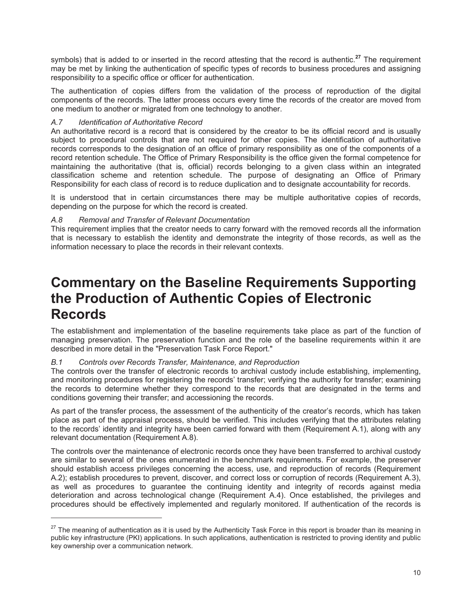symbols) that is added to or inserted in the record attesting that the record is authentic.**<sup>27</sup>** The requirement may be met by linking the authentication of specific types of records to business procedures and assigning responsibility to a specific office or officer for authentication.

The authentication of copies differs from the validation of the process of reproduction of the digital components of the records. The latter process occurs every time the records of the creator are moved from one medium to another or migrated from one technology to another.

#### *A.7 Identification of Authoritative Record*

An authoritative record is a record that is considered by the creator to be its official record and is usually subject to procedural controls that are not required for other copies. The identification of authoritative records corresponds to the designation of an office of primary responsibility as one of the components of a record retention schedule. The Office of Primary Responsibility is the office given the formal competence for maintaining the authoritative (that is, official) records belonging to a given class within an integrated classification scheme and retention schedule. The purpose of designating an Office of Primary Responsibility for each class of record is to reduce duplication and to designate accountability for records.

It is understood that in certain circumstances there may be multiple authoritative copies of records, depending on the purpose for which the record is created.

#### *A.8 Removal and Transfer of Relevant Documentation*

This requirement implies that the creator needs to carry forward with the removed records all the information that is necessary to establish the identity and demonstrate the integrity of those records, as well as the information necessary to place the records in their relevant contexts.

# **Commentary on the Baseline Requirements Supporting the Production of Authentic Copies of Electronic Records**

The establishment and implementation of the baseline requirements take place as part of the function of managing preservation. The preservation function and the role of the baseline requirements within it are described in more detail in the "Preservation Task Force Report."

#### *B.1 Controls over Records Transfer, Maintenance, and Reproduction*

 $\overline{a}$ 

The controls over the transfer of electronic records to archival custody include establishing, implementing, and monitoring procedures for registering the records' transfer; verifying the authority for transfer; examining the records to determine whether they correspond to the records that are designated in the terms and conditions governing their transfer; and accessioning the records.

As part of the transfer process, the assessment of the authenticity of the creator's records, which has taken place as part of the appraisal process, should be verified. This includes verifying that the attributes relating to the records' identity and integrity have been carried forward with them (Requirement A.1), along with any relevant documentation (Requirement A.8).

The controls over the maintenance of electronic records once they have been transferred to archival custody are similar to several of the ones enumerated in the benchmark requirements. For example, the preserver should establish access privileges concerning the access, use, and reproduction of records (Requirement A.2); establish procedures to prevent, discover, and correct loss or corruption of records (Requirement A.3), as well as procedures to guarantee the continuing identity and integrity of records against media deterioration and across technological change (Requirement A.4). Once established, the privileges and procedures should be effectively implemented and regularly monitored. If authentication of the records is

 $27$  The meaning of authentication as it is used by the Authenticity Task Force in this report is broader than its meaning in public key infrastructure (PKI) applications. In such applications, authentication is restricted to proving identity and public key ownership over a communication network.